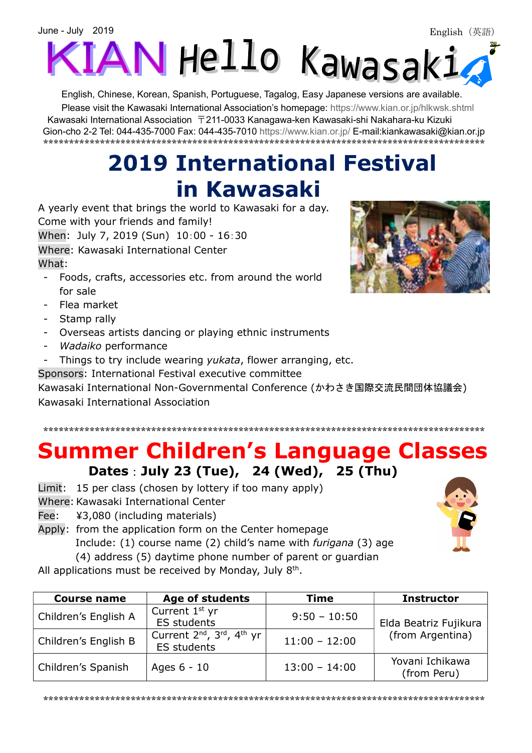

English, Chinese, Korean, Spanish, Portuguese, Tagalog, Easy Japanese versions are available. Please visit the Kawasaki International Association's homepage: https://www.kian.or.jp/hlkwsk.shtml Kawasaki International Association 〒211-0033 Kanagawa-ken Kawasaki-shi Nakahara-ku Kizuki

Gion-cho 2-2 Tel: 044-435-7000 Fax: 044-435-7010 https://www.kian.or.jp/ E-mail:kiankawasaki@kian.or.jp \*\*\*\*\*\*\*\*\*\*\*\*\*\*\*\*\*\*\*\*\*\*\*\*\*\*\*\*\*\*\*\*\*\*\*\*\*\*\*\*\*\*\*\*\*\*\*\*\*\*\*\*\*\*\*\*\*\*\*\*\*\*\*\*\*\*\*\*\*\*\*\*\*\*\*\*\*\*\*\*\*\*\*\*\*\*

# 2019 International Festival in Kawasaki

A yearly event that brings the world to Kawasaki for a day. Come with your friends and family! When: July 7, 2019 (Sun) 10:00 - 16:30 Where: Kawasaki International Center What:

- Foods, crafts, accessories etc. from around the world for sale
- Flea market
- Stamp rally
- Overseas artists dancing or playing ethnic instruments
- Wadaiko performance
- Things to try include wearing yukata, flower arranging, etc.
- Sponsors: International Festival executive committee

Kawasaki International Non-Governmental Conference (かわさき国際交流民間団体協議会) Kawasaki International Association

## Summer Children's Language Classes Dates:July 23 (Tue), 24 (Wed), 25 (Thu)

\*\*\*\*\*\*\*\*\*\*\*\*\*\*\*\*\*\*\*\*\*\*\*\*\*\*\*\*\*\*\*\*\*\*\*\*\*\*\*\*\*\*\*\*\*\*\*\*\*\*\*\*\*\*\*\*\*\*\*\*\*\*\*\*\*\*\*\*\*\*\*\*\*\*\*\*\*\*\*\*\*\*\*\*\*\*

- Limit: 15 per class (chosen by lottery if too many apply)
- Where: Kawasaki International Center
- Fee: ¥3,080 (including materials)

Apply: from the application form on the Center homepage Include: (1) course name (2) child's name with furigana (3) age

(4) address (5) daytime phone number of parent or guardian

All applications must be received by Monday, July  $8<sup>th</sup>$ .

| <b>Course name</b>   | <b>Age of students</b>                                          | <b>Time</b>     | <b>Instructor</b>              |
|----------------------|-----------------------------------------------------------------|-----------------|--------------------------------|
| Children's English A | Current 1 <sup>st</sup> yr<br><b>ES students</b>                | $9:50 - 10:50$  | Elda Beatriz Fujikura          |
| Children's English B | Current $2^{nd}$ , $3^{rd}$ , $4^{th}$ yr<br><b>ES students</b> | $11:00 - 12:00$ | (from Argentina)               |
| Children's Spanish   | Ages 6 - 10                                                     | $13:00 - 14:00$ | Yovani Ichikawa<br>(from Peru) |